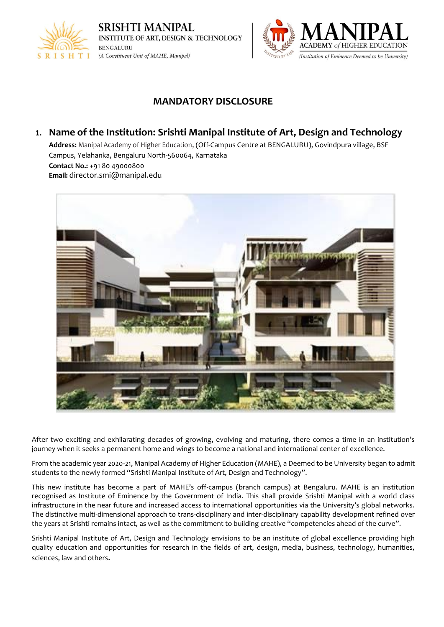



# **MANDATORY DISCLOSURE**

## **1. Name of the Institution: Srishti Manipal Institute of Art, Design and Technology**

**Address:** Manipal Academy of Higher Education, (Off-Campus Centre at BENGALURU), Govindpura village, BSF Campus, Yelahanka, Bengaluru North-560064, Karnataka **Contact No.:** +91 80 49000800 **Email:** director.smi@manipal.edu



After two exciting and exhilarating decades of growing, evolving and maturing, there comes a time in an institution's journey when it seeks a permanent home and wings to become a national and international center of excellence.

From the academic year 2020-21, Manipal Academy of Higher Education (MAHE), a Deemed to be University began to admit students to the newly formed "Srishti Manipal Institute of Art, Design and Technology".

This new institute has become a part of MAHE's off-campus (branch campus) at Bengaluru. MAHE is an institution recognised as Institute of Eminence by the Government of India. This shall provide Srishti Manipal with a world class infrastructure in the near future and increased access to international opportunities via the University's global networks. The distinctive multi-dimensional approach to trans-disciplinary and inter-disciplinary capability development refined over the years at Srishti remains intact, as well as the commitment to building creative "competencies ahead of the curve".

Srishti Manipal Institute of Art, Design and Technology envisions to be an institute of global excellence providing high quality education and opportunities for research in the fields of art, design, media, business, technology, humanities, sciences, law and others.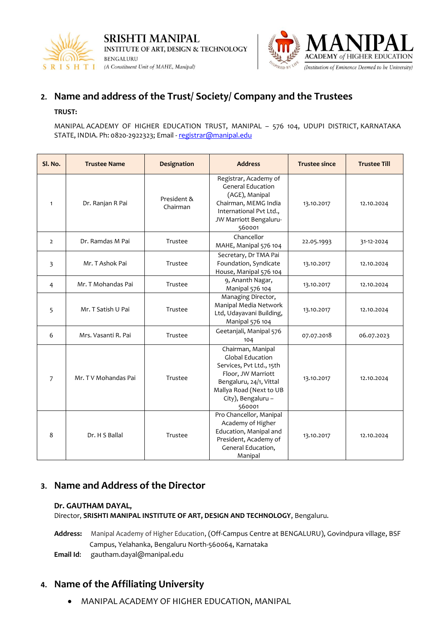



# **2. Name and address of the Trust/ Society/ Company and the Trustees**

#### **TRUST:**

MANIPAL ACADEMY OF HIGHER EDUCATION TRUST, MANIPAL – 576 104, UDUPI DISTRICT, KARNATAKA STATE, INDIA. Ph: 0820-2922323; Email - [registrar@manipal.edu](mailto:registrar@manipal.edu)

| Sl. No.        | <b>Trustee Name</b> | Designation             | <b>Address</b>                                                                                                                                                                       | <b>Trustee since</b> | <b>Trustee Till</b> |
|----------------|---------------------|-------------------------|--------------------------------------------------------------------------------------------------------------------------------------------------------------------------------------|----------------------|---------------------|
| $\mathbf{1}$   | Dr. Ranjan R Pai    | President &<br>Chairman | Registrar, Academy of<br><b>General Education</b><br>(AGE), Manipal<br>Chairman, MEMG India<br>International Pvt Ltd.,<br>JW Marriott Bengaluru-<br>560001                           | 13.10.2017           | 12.10.2024          |
| $\overline{2}$ | Dr. Ramdas M Pai    | Trustee                 | Chancellor<br>MAHE, Manipal 576 104                                                                                                                                                  | 22.05.1993           | 31-12-2024          |
| 3              | Mr. T Ashok Pai     | Trustee                 | Secretary, Dr TMA Pai<br>Foundation, Syndicate<br>House, Manipal 576 104                                                                                                             | 13.10.2017           | 12.10.2024          |
| $\overline{4}$ | Mr. T Mohandas Pai  | Trustee                 | 9, Ananth Nagar,<br>Manipal 576 104                                                                                                                                                  | 13.10.2017           | 12.10.2024          |
| 5              | Mr. T Satish U Pai  | Trustee                 | Managing Director,<br>Manipal Media Network<br>Ltd, Udayavani Building,<br>Manipal 576 104                                                                                           | 13.10.2017           | 12.10.2024          |
| 6              | Mrs. Vasanti R. Pai | Trustee                 | Geetanjali, Manipal 576<br>104                                                                                                                                                       | 07.07.2018           | 06.07.2023          |
| $\overline{7}$ | Mr. TV Mohandas Pai | Trustee                 | Chairman, Manipal<br><b>Global Education</b><br>Services, Pvt Ltd., 15th<br>Floor, JW Marriott<br>Bengaluru, 24/1, Vittal<br>Mallya Road (Next to UB<br>City), Bengaluru -<br>560001 | 13.10.2017           | 12.10.2024          |
| 8              | Dr. H S Ballal      | Trustee                 | Pro Chancellor, Manipal<br>Academy of Higher<br>Education, Manipal and<br>President, Academy of<br>General Education,<br>Manipal                                                     | 13.10.2017           | 12.10.2024          |

## **3. Name and Address of the Director**

#### **Dr. GAUTHAM DAYAL,**

Director, **SRISHTI MANIPAL INSTITUTE OF ART, DESIGN AND TECHNOLOGY**, Bengaluru.

**Address:** Manipal Academy of Higher Education, (Off-Campus Centre at BENGALURU), Govindpura village, BSF Campus, Yelahanka, Bengaluru North-560064, Karnataka

**Email Id**: gautham.dayal@manipal.edu

# **4. Name of the Affiliating University**

• MANIPAL ACADEMY OF HIGHER EDUCATION, MANIPAL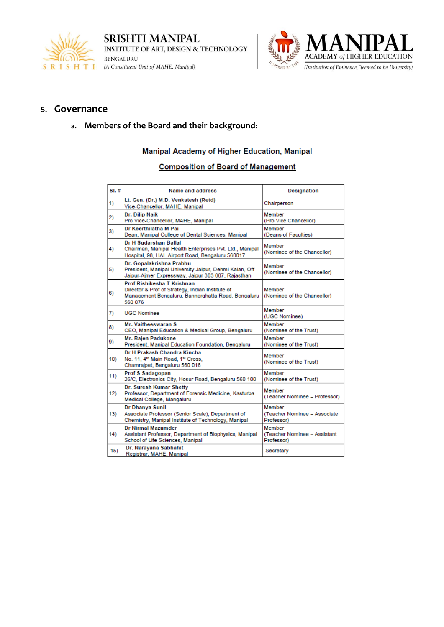



### **5. Governance**

### **a. Members of the Board and their background:**

#### Manipal Academy of Higher Education, Manipal

#### **Composition of Board of Management**

| SL# | Name and address                                                                                                                                | <b>Designation</b>                                   |
|-----|-------------------------------------------------------------------------------------------------------------------------------------------------|------------------------------------------------------|
| 1)  | Lt. Gen. (Dr.) M.D. Venkatesh (Retd)<br>Vice-Chancellor, MAHE, Manipal                                                                          | Chairperson                                          |
| 2)  | Dr. Dilip Naik<br>Pro Vice-Chancellor, MAHE, Manipal                                                                                            | Member<br>(Pro Vice Chancellor)                      |
| 3)  | Dr Keerthilatha M Pai<br>Dean, Manipal College of Dental Sciences, Manipal                                                                      | Member<br>(Deans of Faculties)                       |
| 4)  | Dr H Sudarshan Ballal<br>Chairman, Manipal Health Enterprises Pvt. Ltd., Manipal<br>Hospital, 98, HAL Airport Road, Bengaluru 560017            | Member<br>(Nominee of the Chancellor)                |
| 5)  | Dr. Gopalakrishna Prabhu<br>President, Manipal University Jaipur, Dehmi Kalan, Off<br>Jaipur-Aimer Expressway, Jaipur 303 007, Rajasthan        | Member<br>(Nominee of the Chancellor)                |
| 6)  | Prof Rishikesha T Krishnan<br>Director & Prof of Strategy, Indian Institute of<br>Management Bengaluru, Bannerghatta Road, Bengaluru<br>560 076 | Member<br>(Nominee of the Chancellor)                |
| 7)  | <b>UGC Nominee</b>                                                                                                                              | Member<br>(UGC Nominee)                              |
| 8)  | Mr. Vaitheeswaran S<br>CEO, Manipal Education & Medical Group, Bengaluru                                                                        | Member<br>(Nominee of the Trust)                     |
| 9)  | Mr. Rajen Padukone<br>President, Manipal Education Foundation, Bengaluru                                                                        | Member<br>(Nominee of the Trust)                     |
| 10) | Dr H Prakash Chandra Kincha<br>No. 11, 4 <sup>th</sup> Main Road, 1st Cross,<br>Chamrajpet, Bengaluru 560 018                                   | Member<br>(Nominee of the Trust)                     |
| 11) | Prof S Sadagopan<br>26/C, Electronics City, Hosur Road, Bengaluru 560 100                                                                       | Member<br>(Nominee of the Trust)                     |
| 12) | Dr. Suresh Kumar Shetty<br>Professor, Department of Forensic Medicine, Kasturba<br>Medical College, Mangaluru                                   | Member<br>(Teacher Nominee - Professor)              |
| 13) | Dr Dhanya Sunil<br>Associate Professor (Senior Scale), Department of<br>Chemistry, Manipal Institute of Technology, Manipal                     | Member<br>(Teacher Nominee - Associate<br>Professor) |
| 14) | <b>Dr Nirmal Mazumder</b><br>Assistant Professor, Department of Biophysics, Manipal<br>School of Life Sciences, Manipal                         | Member<br>(Teacher Nominee - Assistant<br>Professor) |
| 15) | Dr. Narayana Sabhahit<br>Registrar MAHE Maninal                                                                                                 | Secretary                                            |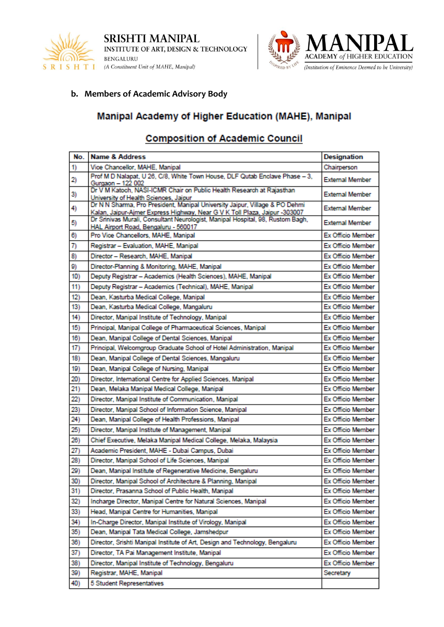



## **b. Members of Academic Advisory Body**

# Manipal Academy of Higher Education (MAHE), Manipal

# **Composition of Academic Council**

| No. | <b>Name &amp; Address</b>                                                                                                                                 | Designation              |
|-----|-----------------------------------------------------------------------------------------------------------------------------------------------------------|--------------------------|
| 1)  | Vice Chancellor, MAHE, Manipal                                                                                                                            | Chairperson              |
| 2)  | Prof M D Nalapat, U 26, C/8, White Town House, DLF Qutab Enclave Phase - 3,<br>Gurgaon - 122 002                                                          | <b>External Member</b>   |
| 3)  | Dr V M Katoch, NASI-ICMR Chair on Public Health Research at Rajasthan<br>University of Health Sciences, Jaipur                                            | <b>External Member</b>   |
| 4)  | Dr N N Sharma, Pro President, Manipal University Jaipur, Village & PO Dehmi<br>Kalan, Jaipur-Ajmer Express Highway, Near G V K Toll Plaza, Jaipur -303007 | <b>External Member</b>   |
| 5)  | Dr Srinivas Murali, Consultant Neurologist, Manipal Hospital, 98, Rustom Bagh,<br>HAL Airport Road, Bengaluru - 560017                                    | <b>External Member</b>   |
| 6)  | Pro Vice Chancellors, MAHE, Manipal                                                                                                                       | <b>Ex Officio Member</b> |
| 7)  | Registrar - Evaluation, MAHE, Manipal                                                                                                                     | <b>Ex Officio Member</b> |
| 8)  | Director - Research, MAHE, Manipal                                                                                                                        | <b>Ex Officio Member</b> |
| 9)  | Director-Planning & Monitoring, MAHE, Manipal                                                                                                             | <b>Ex Officio Member</b> |
| 10) | Deputy Registrar - Academics (Health Sciences), MAHE, Manipal                                                                                             | <b>Ex Officio Member</b> |
| 11) | Deputy Registrar - Academics (Technical), MAHE, Manipal                                                                                                   | Ex Officio Member        |
| 12) | Dean, Kasturba Medical College, Manipal                                                                                                                   | Ex Officio Member        |
| 13) | Dean, Kasturba Medical College, Mangaluru                                                                                                                 | <b>Ex Officio Member</b> |
| 14) | Director, Manipal Institute of Technology, Manipal                                                                                                        | Ex Officio Member        |
| 15) | Principal, Manipal College of Pharmaceutical Sciences, Manipal                                                                                            | Ex Officio Member        |
| 16) | Dean, Manipal College of Dental Sciences, Manipal                                                                                                         | <b>Ex Officio Member</b> |
| 17) | Principal, Welcomgroup Graduate School of Hotel Administration, Manipal                                                                                   | Ex Officio Member        |
| 18) | Dean, Manipal College of Dental Sciences, Mangaluru                                                                                                       | Ex Officio Member        |
| 19) | Dean, Manipal College of Nursing, Manipal                                                                                                                 | <b>Ex Officio Member</b> |
| 20) | Director, International Centre for Applied Sciences, Manipal                                                                                              | <b>Ex Officio Member</b> |
| 21) | Dean, Melaka Manipal Medical College, Manipal                                                                                                             | <b>Ex Officio Member</b> |
| 22) | Director, Manipal Institute of Communication, Manipal                                                                                                     | <b>Ex Officio Member</b> |
| 23) | Director, Manipal School of Information Science, Manipal                                                                                                  | <b>Ex Officio Member</b> |
| 24) | Dean, Manipal College of Health Professions, Manipal                                                                                                      | Ex Officio Member        |
| 25) | Director, Manipal Institute of Management, Manipal                                                                                                        | <b>Ex Officio Member</b> |
| 26) | Chief Executive, Melaka Manipal Medical College, Melaka, Malaysia                                                                                         | Ex Officio Member        |
| 27) | Academic President, MAHE - Dubai Campus, Dubai                                                                                                            | Ex Officio Member        |
| 28) | Director, Manipal School of Life Sciences, Manipal                                                                                                        | Ex Officio Member        |
| 29) | Dean, Manipal Institute of Regenerative Medicine, Bengaluru                                                                                               | Ex Officio Member        |
| 30) | Director, Manipal School of Architecture & Planning, Manipal                                                                                              | Ex Officio Member        |
| 31) | Director, Prasanna School of Public Health, Manipal                                                                                                       | Ex Officio Member        |
| 32) | Incharge Director, Manipal Centre for Natural Sciences, Manipal                                                                                           | Ex Officio Member        |
| 33) | Head, Manipal Centre for Humanities, Manipal                                                                                                              | Ex Officio Member        |
| 34) | In-Charge Director, Manipal Institute of Virology, Manipal                                                                                                | Ex Officio Member        |
| 35) | Dean, Manipal Tata Medical College, Jamshedpur                                                                                                            | Ex Officio Member        |
| 36) | Director, Srishti Manipal Institute of Art, Design and Technology, Bengaluru                                                                              | Ex Officio Member        |
| 37) | Director, TA Pai Management Institute, Manipal                                                                                                            | Ex Officio Member        |
| 38) | Director, Manipal Institute of Technology, Bengaluru                                                                                                      | Ex Officio Member        |
| 39) | Registrar, MAHE, Manipal                                                                                                                                  | Secretary                |
| 40) | 5 Student Representatives                                                                                                                                 |                          |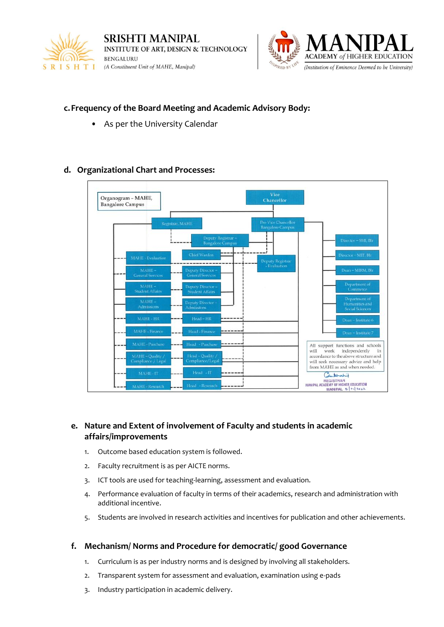



### **c.Frequency of the Board Meeting and Academic Advisory Body:**

As per the University Calendar

### **d. Organizational Chart and Processes:**



### **e. Nature and Extent of involvement of Faculty and students in academic affairs/improvements**

- 1. Outcome based education system is followed.
- 2. Faculty recruitment is as per AICTE norms.
- 3. ICT tools are used for teaching-learning, assessment and evaluation.
- 4. Performance evaluation of faculty in terms of their academics, research and administration with additional incentive.
- 5. Students are involved in research activities and incentives for publication and other achievements.

#### **f. Mechanism/ Norms and Procedure for democratic/ good Governance**

- 1. Curriculum is as per industry norms and is designed by involving all stakeholders.
- 2. Transparent system for assessment and evaluation, examination using e-pads
- 3. Industry participation in academic delivery.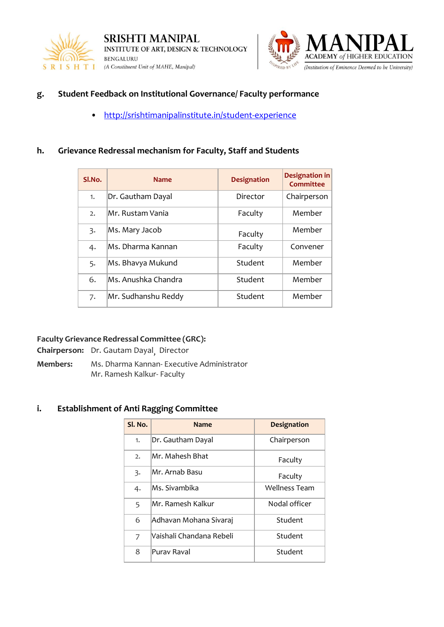



### **g. Student Feedback on Institutional Governance/ Faculty performance**

• <http://srishtimanipalinstitute.in/student-experience>

### **h. Grievance Redressal mechanism for Faculty, Staff and Students**

| Sl.No. | <b>Name</b>         | <b>Designation</b> | Designation in<br><b>Committee</b> |
|--------|---------------------|--------------------|------------------------------------|
| 1.     | Dr. Gautham Dayal   | Director           | Chairperson                        |
| 2.     | Mr. Rustam Vania    | Faculty            | Member                             |
| 3.     | Ms. Mary Jacob      | Faculty            | Member                             |
| 4.     | Ms. Dharma Kannan   | Faculty            | Convener                           |
| 5.     | Ms. Bhavya Mukund   | Student            | Member                             |
| 6.     | Ms. Anushka Chandra | Student            | Member                             |
| 7.     | Mr. Sudhanshu Reddy | Student            | Member                             |

### **Faculty Grievance Redressal Committee (GRC):**

**Chairperson:** Dr. Gautam Dayal, Director

**Members:** Ms. Dharma Kannan- Executive Administrator Mr. Ramesh Kalkur- Faculty

#### **i. Establishment of Anti Ragging Committee**

| Sl. No.        | <b>Name</b>              | <b>Designation</b>   |
|----------------|--------------------------|----------------------|
| 1.             | Dr. Gautham Dayal        | Chairperson          |
| 2.             | Mr. Mahesh Bhat          | Faculty              |
| 3.             | Mr. Arnab Basu           | Faculty              |
| 4.             | Ms. Sivambika            | <b>Wellness Team</b> |
| 5              | Mr. Ramesh Kalkur        | Nodal officer        |
| 6              | Adhavan Mohana Sivaraj   | Student              |
| $\overline{7}$ | Vaishali Chandana Rebeli | Student              |
| 8              | Purav Raval              | Student              |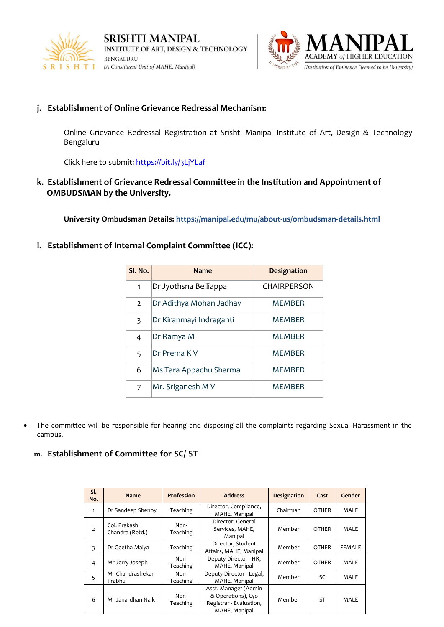



### **j. Establishment of Online Grievance Redressal Mechanism:**

Online Grievance Redressal Registration at Srishti Manipal Institute of Art, Design & Technology Bengaluru

Click here to submit: https://bit.ly/3LjYLaf

**k. Establishment of Grievance Redressal Committee in the Institution and Appointment of OMBUDSMAN by the University.**

**University Ombudsman Details: https://manipal.edu/mu/about-us/ombudsman-details.html**

#### **l. Establishment of Internal Complaint Committee (ICC):**

| Sl. No.        | <b>Name</b>             | <b>Designation</b> |
|----------------|-------------------------|--------------------|
| 1              | Dr Jyothsna Belliappa   | CHAIRPERSON        |
| $\overline{2}$ | Dr Adithya Mohan Jadhav | MFMBFR             |
| 3              | Dr Kiranmayi Indraganti | MFMBFR             |
| 4              | Dr Ramya M              | MFMBFR             |
| 5              | Dr Prema K V            | <b>MEMBER</b>      |
| 6              | Ms Tara Appachu Sharma  | MFMBFR             |
| 7              | Mr. Sriganesh M V       | <b>MEMBER</b>      |

• The committee will be responsible for hearing and disposing all the complaints regarding Sexual Harassment in the campus.

#### **m. Establishment of Committee for SC/ ST**

| SI.<br>No.     | <b>Name</b>                     | <b>Profession</b> | <b>Address</b>                                                                         | <b>Designation</b> | Cast         | Gender        |
|----------------|---------------------------------|-------------------|----------------------------------------------------------------------------------------|--------------------|--------------|---------------|
| $\mathbf{1}$   | Dr Sandeep Shenoy               | Teaching          | Director, Compliance,<br>MAHE, Manipal                                                 | Chairman           | <b>OTHER</b> | <b>MALE</b>   |
| $\overline{2}$ | Col. Prakash<br>Chandra (Retd.) | Non-<br>Teaching  | Director, General<br>Services, MAHE,<br>Manipal                                        | Member             | <b>OTHER</b> | <b>MALE</b>   |
| 3              | Dr Geetha Maiya                 | Teaching          | Director, Student<br>Affairs, MAHE, Manipal                                            | Member             | <b>OTHER</b> | <b>FEMALE</b> |
| 4              | Mr Jerry Joseph                 | Non-<br>Teaching  | Deputy Director - HR,<br>MAHE, Manipal                                                 | Member             | <b>OTHER</b> | <b>MALE</b>   |
| 5              | Mr Chandrashekar<br>Prabhu      | Non-<br>Teaching  | Deputy Director - Legal,<br>MAHE, Manipal                                              | Member             | SC           | <b>MALE</b>   |
| 6              | Mr Janardhan Naik               | Non-<br>Teaching  | Asst. Manager (Admin<br>& Operations), O/o<br>Registrar - Evaluation,<br>MAHE, Manipal | Member             | <b>ST</b>    | <b>MALE</b>   |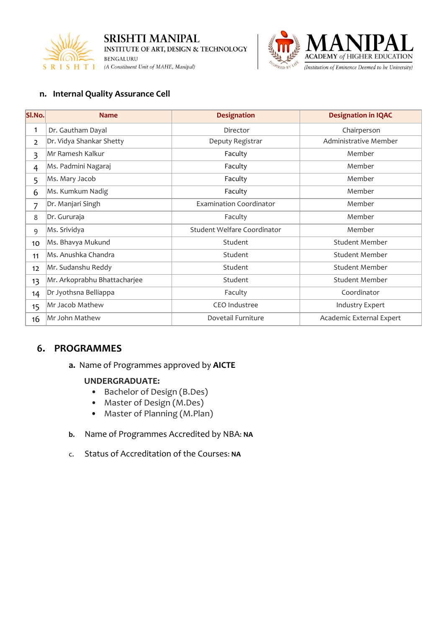



### **n. Internal Quality Assurance Cell**

| SI.No.         | <b>Name</b>                  | <b>Designation</b>             | <b>Designation in IQAC</b> |
|----------------|------------------------------|--------------------------------|----------------------------|
| 1              | Dr. Gautham Dayal            | Director                       | Chairperson                |
| $\overline{2}$ | Dr. Vidya Shankar Shetty     | Deputy Registrar               | Administrative Member      |
| 3              | Mr Ramesh Kalkur             | Faculty                        | Member                     |
| $\overline{4}$ | Ms. Padmini Nagaraj          | Faculty                        | Member                     |
| 5              | Ms. Mary Jacob               | Faculty                        | Member                     |
| 6              | Ms. Kumkum Nadig             | Faculty                        | Member                     |
| 7              | Dr. Manjari Singh            | <b>Examination Coordinator</b> | Member                     |
| 8              | Dr. Gururaja                 | Faculty                        | Member                     |
| 9              | Ms. Srividya                 | Student Welfare Coordinator    | Member                     |
| 10             | Ms. Bhavya Mukund            | Student                        | <b>Student Member</b>      |
| 11             | Ms. Anushka Chandra          | Student                        | <b>Student Member</b>      |
| 12             | Mr. Sudanshu Reddy           | Student                        | <b>Student Member</b>      |
| 13             | Mr. Arkoprabhu Bhattacharjee | Student                        | <b>Student Member</b>      |
| 14             | Dr Jyothsna Belliappa        | Faculty                        | Coordinator                |
| 15             | Mr Jacob Mathew              | <b>CEO</b> Industree           | <b>Industry Expert</b>     |
| 16             | Mr John Mathew               | Dovetail Furniture             | Academic External Expert   |

## **6. PROGRAMMES**

**a.** Name of Programmes approved by **AICTE**

#### **UNDERGRADUATE:**

- Bachelor of Design (B.Des)
- Master of Design (M.Des)
- Master of Planning (M.Plan)
- **b.** Name of Programmes Accredited by NBA: **NA**
- c. Status of Accreditation of the Courses: **NA**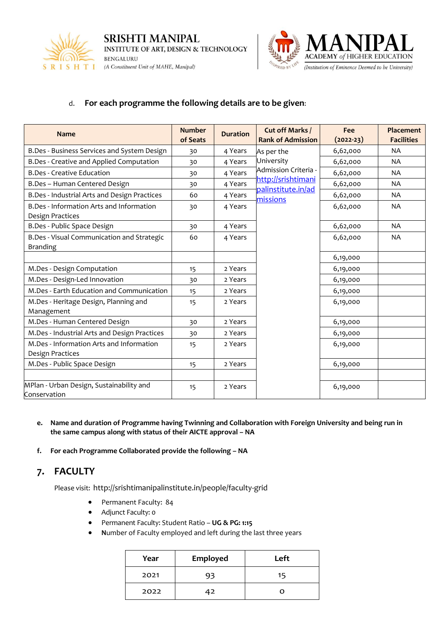



## d. **For each programme the following details are to be given**:

| <b>Name</b>                                  | <b>Number</b><br><b>Duration</b> |         | Cut off Marks /                          | Fee         | Placement         |
|----------------------------------------------|----------------------------------|---------|------------------------------------------|-------------|-------------------|
|                                              | of Seats                         |         | <b>Rank of Admission</b>                 | $(2022-23)$ | <b>Facilities</b> |
| B.Des - Business Services and System Design  | 30                               | 4 Years | As per the                               | 6,62,000    | NA.               |
| B.Des - Creative and Applied Computation     | 30                               | 4 Years | University                               | 6,62,000    | NA                |
| <b>B.Des - Creative Education</b>            | 30                               | 4 Years | Admission Criteria -                     | 6,62,000    | <b>NA</b>         |
| B.Des - Human Centered Design                | 30                               | 4 Years | http://srishtimani<br>palinstitute.in/ad | 6,62,000    | NA.               |
| B.Des - Industrial Arts and Design Practices | 60                               | 4 Years | missions                                 | 6,62,000    | <b>NA</b>         |
| B.Des - Information Arts and Information     | 30                               | 4 Years |                                          | 6,62,000    | <b>NA</b>         |
| Design Practices                             |                                  |         |                                          |             |                   |
| B.Des - Public Space Design                  | 30                               | 4 Years |                                          | 6,62,000    | <b>NA</b>         |
| B.Des - Visual Communication and Strategic   | 60                               | 4 Years |                                          | 6,62,000    | NA                |
| <b>Branding</b>                              |                                  |         |                                          |             |                   |
|                                              |                                  |         |                                          | 6,19,000    |                   |
| M.Des - Design Computation                   | 15                               | 2 Years |                                          | 6,19,000    |                   |
| M.Des - Design-Led Innovation                | 30                               | 2 Years |                                          | 6,19,000    |                   |
| M.Des - Earth Education and Communication    | 15                               | 2 Years |                                          | 6,19,000    |                   |
| M.Des - Heritage Design, Planning and        | 15                               | 2 Years |                                          | 6,19,000    |                   |
| Management                                   |                                  |         |                                          |             |                   |
| M.Des - Human Centered Design                | 30                               | 2 Years |                                          | 6,19,000    |                   |
| M.Des - Industrial Arts and Design Practices | 30                               | 2 Years |                                          | 6,19,000    |                   |
| M.Des - Information Arts and Information     | 15                               | 2 Years |                                          | 6,19,000    |                   |
| Design Practices                             |                                  |         |                                          |             |                   |
| M.Des - Public Space Design                  | 15                               | 2 Years |                                          | 6,19,000    |                   |
|                                              |                                  |         |                                          |             |                   |
| MPlan - Urban Design, Sustainability and     | 15                               | 2 Years |                                          | 6,19,000    |                   |
| Conservation                                 |                                  |         |                                          |             |                   |

- **e. Name and duration of Programme having Twinning and Collaboration with Foreign University and being run in the same campus along with status of their AICTE approval – NA**
- **f. For each Programme Collaborated provide the following – NA**

## **7. FACULTY**

Please visit: http://srishtimanipalinstitute.in/people/faculty-grid

- Permanent Faculty: 84
- Adjunct Faculty: 0
- Permanent Faculty: Student Ratio **UG & PG: 1:15**
- **N**umber of Faculty employed and left during the last three years

| Year | Employed | Left |
|------|----------|------|
| 2021 | 93       | 15   |
| 2022 |          |      |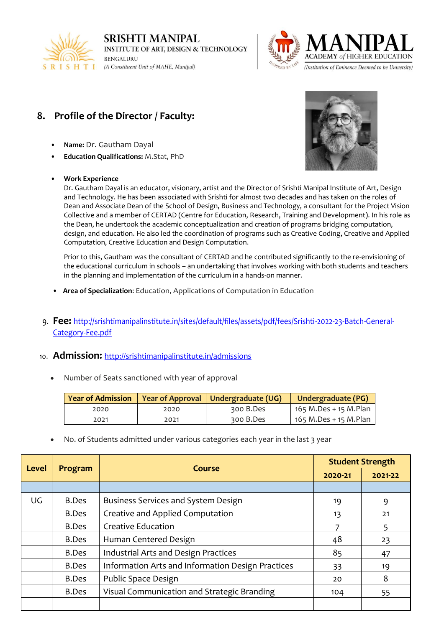



# **8. Profile of the Director / Faculty:**

- **Name:** Dr. Gautham Dayal
- **Education Qualifications:** M.Stat, PhD

#### • **Work Experience**



Dr. Gautham Dayal is an educator, visionary, artist and the Director of Srishti Manipal Institute of Art, Design and Technology. He has been associated with Srishti for almost two decades and has taken on the roles of Dean and Associate Dean of the School of Design, Business and Technology, a consultant for the Project Vision Collective and a member of CERTAD (Centre for Education, Research, Training and Development). In his role as the Dean, he undertook the academic conceptualization and creation of programs bridging computation, design, and education. He also led the coordination of programs such as Creative Coding, Creative and Applied Computation, Creative Education and Design Computation.

Prior to this, Gautham was the consultant of CERTAD and he contributed significantly to the re-envisioning of the educational curriculum in schools – an undertaking that involves working with both students and teachers in the planning and implementation of the curriculum in a hands-on manner.

- **Area of Specialization**: Education, Applications of Computation in Education
- 9. **Fee:** [http://srishtimanipalinstitute.in/sites/default/files/assets/pdf/fees/Srishti-2022-23-Batch-General-](http://srishtimanipalinstitute.in/sites/default/files/assets/pdf/fees/Srishti-2022-23-Batch-General-Category-Fee.pdf)[Category-Fee.pdf](http://srishtimanipalinstitute.in/sites/default/files/assets/pdf/fees/Srishti-2022-23-Batch-General-Category-Fee.pdf)

#### 10. **Admission:** <http://srishtimanipalinstitute.in/admissions>

• Number of Seats sanctioned with year of approval

|      |      | Year of Admission   Year of Approval   Undergraduate (UG) | Undergraduate (PG)    |
|------|------|-----------------------------------------------------------|-----------------------|
| 2020 | 2020 | 300 B.Des                                                 | 165 M.Des + 15 M.Plan |
| 2021 | 2021 | 300 B.Des                                                 | 165 M.Des + 15 M.Plan |

• No. of Students admitted under various categories each year in the last 3 year

| <b>Level</b> | Course<br>Program |                                                   | <b>Student Strength</b> |         |
|--------------|-------------------|---------------------------------------------------|-------------------------|---------|
|              |                   |                                                   | 2020-21                 | 2021-22 |
|              |                   |                                                   |                         |         |
| UG           | B.Des             | Business Services and System Design               | 19                      | 9       |
|              | <b>B.Des</b>      | Creative and Applied Computation                  | 13                      | 21      |
|              | B.Des             | Creative Education                                | 7                       | 5       |
|              | B.Des             | Human Centered Design                             | 48                      | 23      |
|              | <b>B.Des</b>      | Industrial Arts and Design Practices              | 85                      | 47      |
|              | B.Des             | Information Arts and Information Design Practices | 33                      | 19      |
|              | B.Des             | Public Space Design                               | 20                      | 8       |
|              | <b>B.Des</b>      | Visual Communication and Strategic Branding       | 104                     | 55      |
|              |                   |                                                   |                         |         |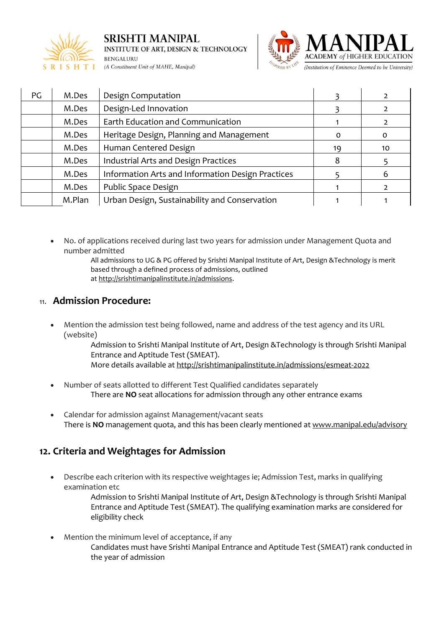



| PG | M.Des  | Design Computation                                |          |    |
|----|--------|---------------------------------------------------|----------|----|
|    | M.Des  | Design-Led Innovation                             |          |    |
|    | M.Des  | Earth Education and Communication                 |          |    |
|    | M.Des  | Heritage Design, Planning and Management          | $\Omega$ | 0  |
|    | M.Des  | Human Centered Design                             | 19       | 10 |
|    | M.Des  | Industrial Arts and Design Practices              | 8        |    |
|    | M.Des  | Information Arts and Information Design Practices |          | 6  |
|    | M.Des  | Public Space Design                               |          |    |
|    | M.Plan | Urban Design, Sustainability and Conservation     |          |    |

- No. of applications received during last two years for admission under Management Quota and number admitted
	- All admissions to UG & PG offered by Srishti Manipal Institute of Art, Design &Technology is merit based through a defined process of admissions, outlined at [http://srishtimanipalinstitute.in/admissions.](http://srishtimanipalinstitute.in/admissions)

# 11. **Admission Procedure:**

• Mention the admission test being followed, name and address of the test agency and its URL (website)

Admission to Srishti Manipal Institute of Art, Design &Technology is through Srishti Manipal Entrance and Aptitude Test (SMEAT).

- More details available at <http://srishtimanipalinstitute.in/admissions/esmeat-2022>
- Number of seats allotted to different Test Qualified candidates separately There are **NO** seat allocations for admission through any other entrance exams
- Calendar for admission against Management/vacant seats There is **NO** management quota, and this has been clearly mentioned at [www.manipal.edu/advisory](http://www.manipal.edu/advisory)

# **12. Criteria and Weightages for Admission**

• Describe each criterion with its respective weightages ie; Admission Test, marks in qualifying examination etc

> Admission to Srishti Manipal Institute of Art, Design &Technology is through Srishti Manipal Entrance and Aptitude Test (SMEAT). The qualifying examination marks are considered for eligibility check

Mention the minimum level of acceptance, if any Candidates must have Srishti Manipal Entrance and Aptitude Test (SMEAT) rank conducted in the year of admission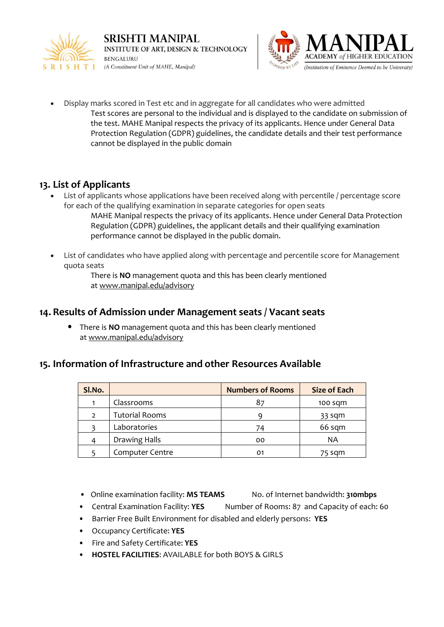



• Display marks scored in Test etc and in aggregate for all candidates who were admitted Test scores are personal to the individual and is displayed to the candidate on submission of the test. MAHE Manipal respects the privacy of its applicants. Hence under General Data Protection Regulation (GDPR) guidelines, the candidate details and their test performance cannot be displayed in the public domain

# **13. List of Applicants**

- List of applicants whose applications have been received along with percentile / percentage score for each of the qualifying examination in separate categories for open seats
	- MAHE Manipal respects the privacy of its applicants. Hence under General Data Protection Regulation (GDPR) guidelines, the applicant details and their qualifying examination performance cannot be displayed in the public domain.
- List of candidates who have applied along with percentage and percentile score for Management quota seats

There is **NO** management quota and this has been clearly mentioned at [www.manipal.edu/advisory](http://www.manipal.edu/advisory)

# **14. Results of Admission under Management seats / Vacant seats**

• There is **NO** management quota and this has been clearly mentioned at [www.manipal.edu/advisory](http://www.manipal.edu/advisory)

# **15. Information of Infrastructure and other Resources Available**

| SI.No.         |                        | <b>Numbers of Rooms</b> | <b>Size of Each</b> |
|----------------|------------------------|-------------------------|---------------------|
|                | Classrooms             |                         | $100$ sqm           |
| $\overline{2}$ | <b>Tutorial Rooms</b>  |                         | 33 sqm              |
|                | Laboratories           | 74                      | 66 sqm              |
|                | Drawing Halls          | 00                      | ΝA                  |
|                | <b>Computer Centre</b> | 01                      | 75 sqm              |

- Online examination facility: MS TEAMS No. of Internet bandwidth: 310mbps
- Central Examination Facility: **YES** Number of Rooms: 87 and Capacity of each: 60
- Barrier Free Built Environment for disabled and elderly persons: **YES**
- Occupancy Certificate: **YES**
- Fire and Safety Certificate: **YES**
- **HOSTEL FACILITIES**: AVAILABLE for both BOYS & GIRLS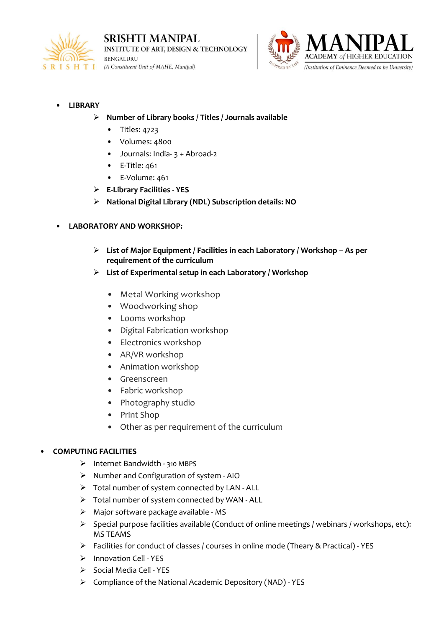



### • **LIBRARY**

- ➢ **Number of Library books / Titles / Journals available**
	- Titles: 4723
	- Volumes: 4800
	- Journals: India- 3 + Abroad-2
	- E-Title: 461
	- E-Volume: 461
- ➢ **E-Library Facilities - YES**
- ➢ **National Digital Library (NDL) Subscription details: NO**

### • **LABORATORY AND WORKSHOP:**

- ➢ **List of Major Equipment / Facilities in each Laboratory / Workshop – As per requirement of the curriculum**
- ➢ **List of Experimental setup in each Laboratory / Workshop**
	- Metal Working workshop
	- Woodworking shop
	- Looms workshop
	- Digital Fabrication workshop
	- Electronics workshop
	- AR/VR workshop
	- Animation workshop
	- Greenscreen
	- Fabric workshop
	- Photography studio
	- Print Shop
	- Other as per requirement of the curriculum

#### • **COMPUTING FACILITIES**

- ➢ Internet Bandwidth 310 MBPS
- ➢ Number and Configuration of system AIO
- ➢ Total number of system connected by LAN ALL
- ➢ Total number of system connected by WAN ALL
- ➢ Major software package available MS
- ➢ Special purpose facilities available (Conduct of online meetings / webinars / workshops, etc): MS TEAMS
- ➢ Facilities for conduct of classes / courses in online mode (Theary & Practical) YES
- ➢ Innovation Cell YES
- ➢ Social Media Cell YES
- ➢ Compliance of the National Academic Depository (NAD) YES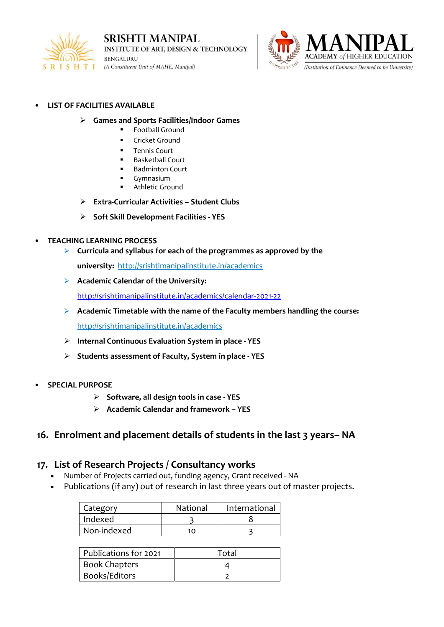



#### • **LIST OF FACILITIES AVAILABLE**

- ➢ **Games and Sports Facilities/Indoor Games**
	- **Football Ground**
	- Cricket Ground
	- **Tennis Court**
	- **Basketball Court**
	- **Badminton Court**
	- Gymnasium
	- Athletic Ground
- ➢ **Extra-Curricular Activities – Student Clubs**
- ➢ **Soft Skill Development Facilities - YES**

#### • **TEACHING LEARNING PROCESS**

- ➢ **Curricula and syllabus for each of the programmes as approved by the** 
	- **university:** http://srishtimanipalinstitute.in/academics
- ➢ **Academic Calendar of the University:**

<http://srishtimanipalinstitute.in/academics/calendar-2021-22>

➢ **Academic Timetable with the name of the Faculty members handling the course:**

http://srishtimanipalinstitute.in/academics

- ➢ **Internal Continuous Evaluation System in place - YES**
- ➢ **Students assessment of Faculty, System in place - YES**
- **SPECIAL PURPOSE**
	- ➢ **Software, all design tools in case - YES**
	- ➢ **Academic Calendar and framework – YES**

## **16. Enrolment and placement details of students in the last 3 years– NA**

### **17. List of Research Projects / Consultancy works**

- Number of Projects carried out, funding agency, Grant received NA
- Publications (if any) out of research in last three years out of master projects.

| Category    | National | International |
|-------------|----------|---------------|
| Indexed     |          |               |
| Non-indexed | 10       |               |

| Publications for 2021 | Total |
|-----------------------|-------|
| <b>Book Chapters</b>  |       |
| Books/Editors         |       |
|                       |       |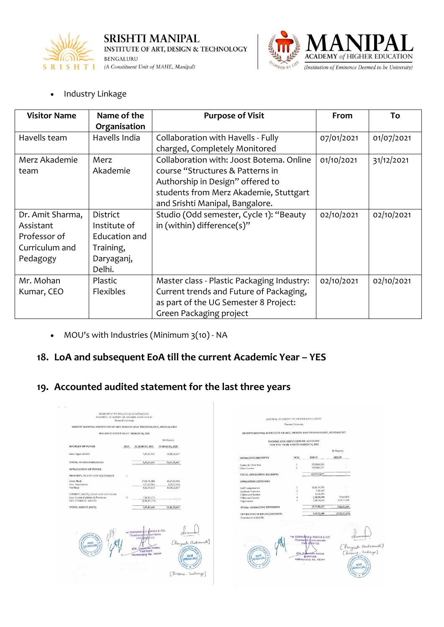



• Industry Linkage

| <b>Visitor Name</b> | Name of the      | <b>Purpose of Visit</b>                    | From       | To         |
|---------------------|------------------|--------------------------------------------|------------|------------|
|                     | Organisation     |                                            |            |            |
| Havells team        | Havells India    | Collaboration with Havells - Fully         | 07/01/2021 | 01/07/2021 |
|                     |                  | charged, Completely Monitored              |            |            |
| Merz Akademie       | Merz             | Collaboration with: Joost Botema. Online   | 01/10/2021 | 31/12/2021 |
| team                | Akademie         | course "Structures & Patterns in           |            |            |
|                     |                  | Authorship in Design" offered to           |            |            |
|                     |                  | students from Merz Akademie, Stuttgart     |            |            |
|                     |                  | and Srishti Manipal, Bangalore.            |            |            |
| Dr. Amit Sharma,    | District         | Studio (Odd semester, Cycle 1): "Beauty    | 02/10/2021 | 02/10/2021 |
| Assistant           | Institute of     | in (within) difference(s)"                 |            |            |
| Professor of        | Education and    |                                            |            |            |
| Curriculum and      | Training,        |                                            |            |            |
| Pedagogy            | Daryaganj,       |                                            |            |            |
|                     | Delhi.           |                                            |            |            |
| Mr. Mohan           | Plastic          | Master class - Plastic Packaging Industry: | 02/10/2021 | 02/10/2021 |
| Kumar, CEO          | <b>Flexibles</b> | Current trends and Future of Packaging,    |            |            |
|                     |                  | as part of the UG Semester 8 Project:      |            |            |
|                     |                  | Green Packaging project                    |            |            |

• MOU's with Industries (Minimum 3(10) - NA

# **18. LoA and subsequent EoA till the current Academic Year – YES**

# **19. Accounted audited statement for the last three years**

|                                                                    | SCHEDULE TO FINANCIAL STATEMENTS<br>Deemed University | MANIPAL ACADEMY OF HIGHER EDUCATION                |                                 |                                                                    | MANIPAL ACADEMY OF HIGHER EDUCATION       |                                         |                          |                                                     |
|--------------------------------------------------------------------|-------------------------------------------------------|----------------------------------------------------|---------------------------------|--------------------------------------------------------------------|-------------------------------------------|-----------------------------------------|--------------------------|-----------------------------------------------------|
| SRISHTI MANIPAL INSTITUTE OF ART, DESIGN AND TECHNOLOGY, BENGALURU |                                                       |                                                    |                                 |                                                                    | Deemed University                         |                                         |                          |                                                     |
|                                                                    |                                                       |                                                    |                                 | SRISHTI MANIPAL INSTITUTE OF ART, DESIGN AND TECHNOLOGY, BENGALURU |                                           |                                         |                          |                                                     |
|                                                                    | <b>BALANCE SHEET AS AT MARCH 31, 2021</b>             |                                                    |                                 |                                                                    |                                           |                                         |                          |                                                     |
|                                                                    |                                                       |                                                    | (In Rupees)                     |                                                                    | INCOME AND EXPENDITURE ACCOUNT            |                                         |                          |                                                     |
| <b>SOURCES OF FUNDS</b>                                            | SCH                                                   | 31 MARCH, 2021                                     | 31 MARCH, 2020                  |                                                                    | FOR THE YEAR ENDED MARCH 31, 2021         |                                         |                          |                                                     |
|                                                                    |                                                       |                                                    |                                 |                                                                    |                                           |                                         | (In Rupees)              |                                                     |
| Intra-Organ. MAHE                                                  |                                                       | 5,95,43,441                                        | 10,48,22,667                    | <b>OPERATING RECEIPTS</b>                                          | SCH                                       | 2020-21                                 | 2019-20                  |                                                     |
| TOTAL FUNDS EMPLOYED                                               |                                                       | 5,95,43,441                                        | 18,48,22,667                    |                                                                    |                                           |                                         |                          |                                                     |
|                                                                    |                                                       |                                                    |                                 | Tuition & Other Fees<br>Other Income                               | $\overline{\mathbf{3}}$<br>$\overline{a}$ | 22,98,88,320<br>19,98,85,357            |                          |                                                     |
| <b>APPLICATION OF FUNDS</b>                                        |                                                       |                                                    |                                 |                                                                    |                                           |                                         |                          |                                                     |
| PROPERTY, PLANT AND EQUIPMENT                                      | $\mathbf{1}$                                          |                                                    |                                 | TOTAL OPERATING RECEIPTS                                           |                                           | 42,97,73,677                            |                          |                                                     |
| Gross Block                                                        |                                                       | 14,09,76,581                                       | 13,27,00,000                    | <b>OPERATING EXPENSES</b>                                          |                                           |                                         |                          |                                                     |
| Less: Depreciation<br>Net Block                                    |                                                       | 5,77,51,965<br>8,32,24,616                         | 2,78,77,333<br>10,48,22,667     | Staff Compensation                                                 | 5                                         | 31,69,19,791                            |                          |                                                     |
|                                                                    |                                                       |                                                    |                                 | Academic Expenses                                                  | 6                                         | 5,54,162                                |                          |                                                     |
| CURRENT ASSETS, LOANS AND ADVANCES                                 |                                                       |                                                    |                                 | Utilities and Services                                             |                                           | 53,65,394                               |                          |                                                     |
| Less: Current Liabilities & Provisions<br>NET CURRENT ASSETS       | $\overline{z}$                                        | 2,36,81,175<br>(2,36,81,175)                       |                                 | Office and General<br>Depreciation                                 | 8<br>$\circ$                              | 2,48,84,698<br>2,98,74,632              | 23,60,000<br>2,78,77,333 |                                                     |
|                                                                    |                                                       |                                                    |                                 |                                                                    |                                           |                                         |                          |                                                     |
| TOTAL ASSETS (NET)                                                 |                                                       | 5,95,43,441                                        | 10,48,22,667                    | TOTAL OPERATING EXPENSES                                           |                                           | 37,75,98,677                            | 3,02,37,333              |                                                     |
|                                                                    |                                                       |                                                    |                                 | OPERATING SURPLUS/(DEFICIT)<br>(Transferred to MAHE)               |                                           | 5,21,75,000                             | (3,02,37,333)            |                                                     |
|                                                                    |                                                       |                                                    |                                 |                                                                    |                                           |                                         |                          |                                                     |
|                                                                    |                                                       |                                                    |                                 |                                                                    |                                           |                                         |                          |                                                     |
|                                                                    |                                                       | For SRIRAMULU MAIDU & CO.                          |                                 |                                                                    |                                           |                                         |                          |                                                     |
| o of Art                                                           |                                                       | <b>Chartered Accountants</b><br><b>FRN/00%975S</b> | dumment.<br>[Peeyush Charonied] |                                                                    |                                           | For SRIRANULLI NAIDU & CO.              |                          | Ohmman                                              |
|                                                                    |                                                       |                                                    |                                 |                                                                    |                                           | Chartered Accountants                   |                          | Commons<br>[Pacyush Chalumedi]<br>[Finance-Indraye] |
| MAHE.<br><b>BENGALURU</b>                                          |                                                       |                                                    |                                 |                                                                    |                                           | <b>FRN 008975S</b>                      |                          |                                                     |
|                                                                    |                                                       | (CA. Sritamulu Naidu)<br>PARTNER                   |                                 | a of Art                                                           |                                           |                                         |                          |                                                     |
|                                                                    |                                                       | Membership No. 18244                               |                                 |                                                                    |                                           | (CA, SrAamulu Naidu)                    |                          |                                                     |
|                                                                    |                                                       |                                                    | <b>BENGALURU</b>                | MAHE<br>BENGALURU                                                  |                                           | <b>RARTNER</b><br>Milmbership No. 18244 |                          | as of Art A                                         |
|                                                                    |                                                       | ama aran siyedhal 1851                             |                                 |                                                                    |                                           |                                         |                          |                                                     |
|                                                                    |                                                       | <b>SAFE CAMBRIDGE</b>                              |                                 |                                                                    |                                           |                                         |                          | <b>MAHE</b><br><b>BENGALURU</b>                     |
|                                                                    |                                                       |                                                    | Finance - Inchange]             |                                                                    |                                           |                                         |                          |                                                     |
|                                                                    |                                                       |                                                    |                                 |                                                                    |                                           |                                         |                          |                                                     |
|                                                                    |                                                       |                                                    |                                 |                                                                    |                                           |                                         |                          |                                                     |